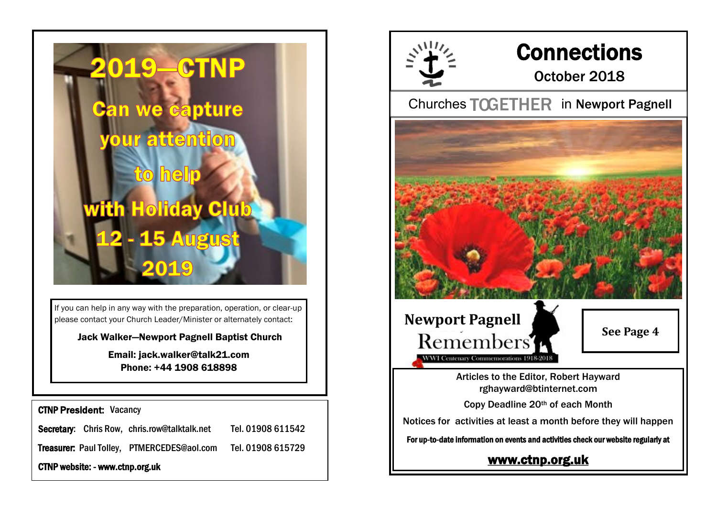

If you can help in any way with the preparation, operation, or clear-up please contact your Church Leader/Minister or alternately contact:

Jack Walker—Newport Pagnell Baptist Church

Email: jack.walker@talk21.com Phone: +44 1908 618898

CTNP President: Vacancy

Secretary: Chris Row, chris.row@talktalk.net Tel. 01908 611542

Treasurer: Paul Tolley, PTMERCEDES@aol.com Tel. 01908 615729

CTNP website: - www.ctnp.org.uk



## **Connections**

## October 2018

Churches TOGETHER in Newport Pagnell



[www.ctnp.org.uk](http://www.ctnp.org.uk)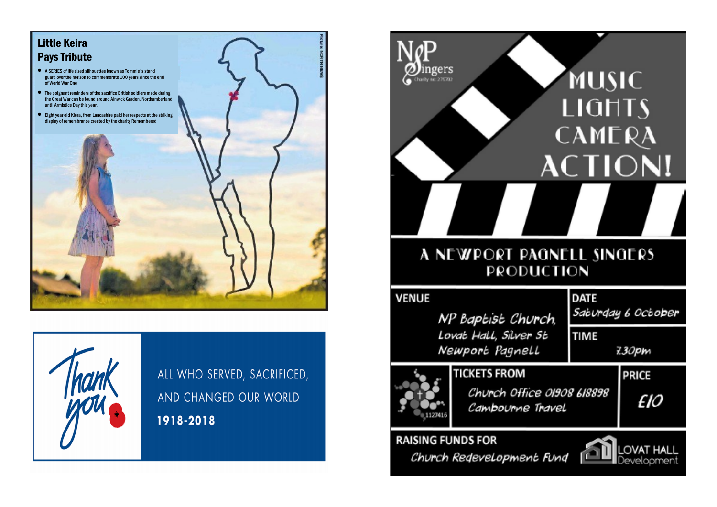



ALL WHO SERVED, SACRIFICED, AND CHANGED OUR WORLD 1918-2018

| gers                                                                                | <b>MUSIC</b><br>LIGHTS<br>CAMERA<br><b>ACTION!</b> |
|-------------------------------------------------------------------------------------|----------------------------------------------------|
| A NEWPORT PAGNELL SINGERS<br>PRODUCTION                                             |                                                    |
| <b>VENUE</b><br>NP Baptist Church,<br>Lovat Hall, Silver St                         | <b>DATE</b><br>Saturgay 6 October<br><b>TIME</b>   |
| Newport Pagnell                                                                     | 7.30pm                                             |
| <b>TICKETS FROM</b><br>Church Office 01908 618898<br>Cambourne Travel               | <b>PRICE</b><br>£10                                |
| <b>RAISING FUNDS FOR</b><br><b>OVAT</b><br>Church Redevelopment Fund<br>Development |                                                    |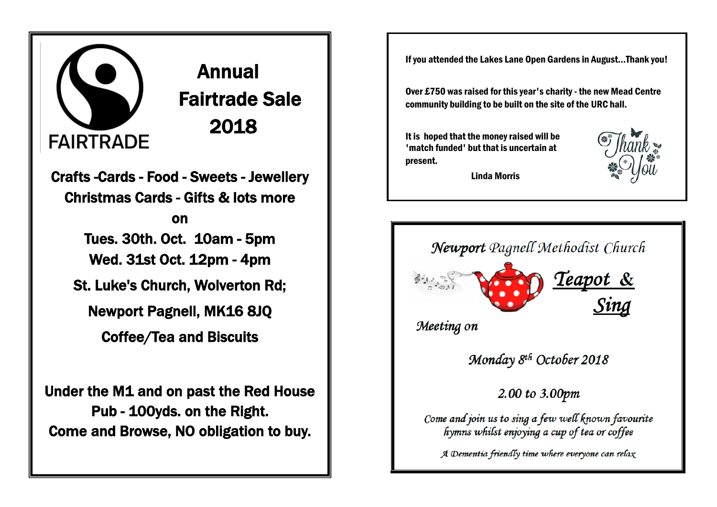## l FAIRTRADE 2018

 Annual Fairtrade Sale

Crafts -Cards - Food - Sweets - Jewellery Christmas Cards - Gifts & lots more

> on Tues. 30th. Oct. 10am - 5pm Wed. 31st Oct. 12pm - 4pm

St. Luke's Church, Wolverton Rd;

Newport Pagnell, MK16 8JQ

Coffee/Tea and Biscuits

Under the M1 and on past the Red House Pub - 100yds. on the Right. Come and Browse, NO obligation to buy.

If you attended the Lakes Lane Open Gardens in August...Thank you!

Over £750 was raised for this year's charity - the new Mead Centre community building to be built on the site of the URC hall.

It is hoped that the money raised will be 'match funded' but that is uncertain at present.



Linda Morris